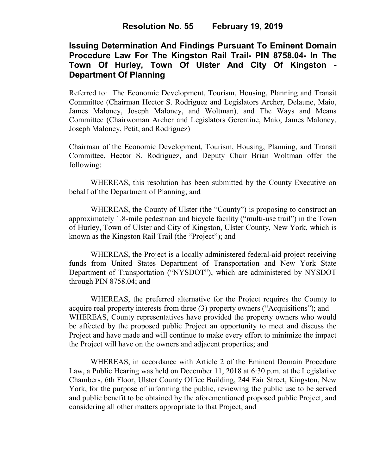# **Resolution No. 55 February 19, 2019**

# **Issuing Determination And Findings Pursuant To Eminent Domain Procedure Law For The Kingston Rail Trail- PIN 8758.04- In The Town Of Hurley, Town Of Ulster And City Of Kingston - Department Of Planning**

Referred to: The Economic Development, Tourism, Housing, Planning and Transit Committee (Chairman Hector S. Rodriguez and Legislators Archer, Delaune, Maio, James Maloney, Joseph Maloney, and Woltman), and The Ways and Means Committee (Chairwoman Archer and Legislators Gerentine, Maio, James Maloney, Joseph Maloney, Petit, and Rodriguez)

Chairman of the Economic Development, Tourism, Housing, Planning, and Transit Committee, Hector S. Rodriguez, and Deputy Chair Brian Woltman offer the following:

WHEREAS, this resolution has been submitted by the County Executive on behalf of the Department of Planning; and

WHEREAS, the County of Ulster (the "County") is proposing to construct an approximately 1.8-mile pedestrian and bicycle facility ("multi-use trail") in the Town of Hurley, Town of Ulster and City of Kingston, Ulster County, New York, which is known as the Kingston Rail Trail (the "Project"); and

WHEREAS, the Project is a locally administered federal-aid project receiving funds from United States Department of Transportation and New York State Department of Transportation ("NYSDOT"), which are administered by NYSDOT through PIN 8758.04; and

WHEREAS, the preferred alternative for the Project requires the County to acquire real property interests from three (3) property owners ("Acquisitions"); and WHEREAS, County representatives have provided the property owners who would be affected by the proposed public Project an opportunity to meet and discuss the Project and have made and will continue to make every effort to minimize the impact the Project will have on the owners and adjacent properties; and

WHEREAS, in accordance with Article 2 of the Eminent Domain Procedure Law, a Public Hearing was held on December 11, 2018 at 6:30 p.m. at the Legislative Chambers, 6th Floor, Ulster County Office Building, 244 Fair Street, Kingston, New York, for the purpose of informing the public, reviewing the public use to be served and public benefit to be obtained by the aforementioned proposed public Project, and considering all other matters appropriate to that Project; and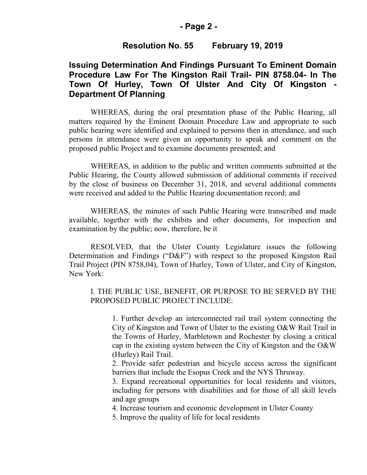#### **- Page 2 -**

# **Resolution No. 55 February 19, 2019**

# **Issuing Determination And Findings Pursuant To Eminent Domain Procedure Law For The Kingston Rail Trail- PIN 8758.04- In The Town Of Hurley, Town Of Ulster And City Of Kingston - Department Of Planning**

WHEREAS, during the oral presentation phase of the Public Hearing, all matters required by the Eminent Domain Procedure Law and appropriate to such public hearing were identified and explained to persons then in attendance, and such persons in attendance were given an opportunity to speak and comment on the proposed public Project and to examine documents presented; and

WHEREAS, in addition to the public and written comments submitted at the Public Hearing, the County allowed submission of additional comments if received by the close of business on December 31, 2018, and several additional comments were received and added to the Public Hearing documentation record; and

WHEREAS, the minutes of such Public Hearing were transcribed and made available, together with the exhibits and other documents, for inspection and examination by the public; now, therefore, be it

RESOLVED, that the Ulster County Legislature issues the following Determination and Findings ("D&F") with respect to the proposed Kingston Rail Trail Project (PIN 8758,04), Town of Hurley, Town of Ulster, and City of Kingston, New York:

### I. THE PUBLIC USE, BENEFIT, OR PURPOSE TO BE SERVED BY THE PROPOSED PUBLIC PROJECT INCLUDE:

1. Further develop an interconnected rail trail system connecting the City of Kingston and Town of Ulster to the existing O&W Rail Trail in the Towns of Hurley, Marbletown and Rochester by closing a critical cap in the existing system between the City of Kingston and the O&W (Hurley) Rail Trail.

2. Provide safer pedestrian and bicycle access across the significant barriers that include the Esopus Creek and the NYS Thruway.

3. Expand recreational opportunities for local residents and visitors, including for persons with disabilities and for those of all skill levels and age groups

4. Increase tourism and economic development in Ulster County

5. Improve the quality of life for local residents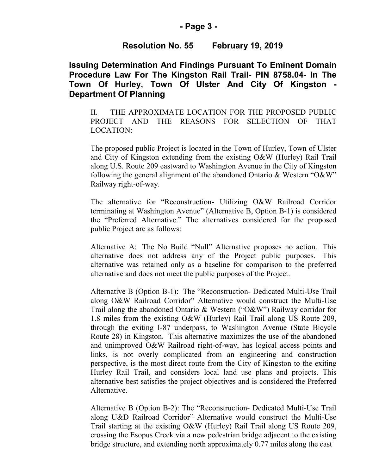### **- Page 3 -**

# **Resolution No. 55 February 19, 2019**

**Issuing Determination And Findings Pursuant To Eminent Domain Procedure Law For The Kingston Rail Trail- PIN 8758.04- In The Town Of Hurley, Town Of Ulster And City Of Kingston - Department Of Planning**

II. THE APPROXIMATE LOCATION FOR THE PROPOSED PUBLIC PROJECT AND THE REASONS FOR SELECTION OF THAT LOCATION:

The proposed public Project is located in the Town of Hurley, Town of Ulster and City of Kingston extending from the existing O&W (Hurley) Rail Trail along U.S. Route 209 eastward to Washington Avenue in the City of Kingston following the general alignment of the abandoned Ontario & Western "O&W" Railway right-of-way.

The alternative for "Reconstruction- Utilizing O&W Railroad Corridor terminating at Washington Avenue" (Alternative B, Option B-1) is considered the "Preferred Alternative." The alternatives considered for the proposed public Project are as follows:

Alternative A: The No Build "Null" Alternative proposes no action. This alternative does not address any of the Project public purposes. This alternative was retained only as a baseline for comparison to the preferred alternative and does not meet the public purposes of the Project.

Alternative B (Option B-1): The "Reconstruction- Dedicated Multi-Use Trail along O&W Railroad Corridor" Alternative would construct the Multi-Use Trail along the abandoned Ontario & Western ("O&W") Railway corridor for 1.8 miles from the existing O&W (Hurley) Rail Trail along US Route 209, through the exiting I-87 underpass, to Washington Avenue (State Bicycle Route 28) in Kingston. This alternative maximizes the use of the abandoned and unimproved O&W Railroad right-of-way, has logical access points and links, is not overly complicated from an engineering and construction perspective, is the most direct route from the City of Kingston to the exiting Hurley Rail Trail, and considers local land use plans and projects. This alternative best satisfies the project objectives and is considered the Preferred Alternative.

Alternative B (Option B-2): The "Reconstruction- Dedicated Multi-Use Trail along U&D Railroad Corridor" Alternative would construct the Multi-Use Trail starting at the existing O&W (Hurley) Rail Trail along US Route 209, crossing the Esopus Creek via a new pedestrian bridge adjacent to the existing bridge structure, and extending north approximately 0.77 miles along the east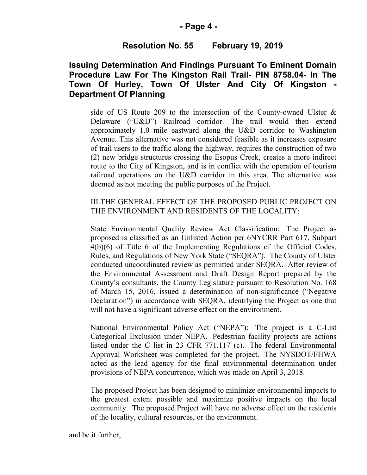### **- Page 4 -**

### **Resolution No. 55 February 19, 2019**

# **Issuing Determination And Findings Pursuant To Eminent Domain Procedure Law For The Kingston Rail Trail- PIN 8758.04- In The Town Of Hurley, Town Of Ulster And City Of Kingston - Department Of Planning**

side of US Route 209 to the intersection of the County-owned Ulster & Delaware ("U&D") Railroad corridor. The trail would then extend approximately 1.0 mile eastward along the U&D corridor to Washington Avenue. This alternative was not considered feasible as it increases exposure of trail users to the traffic along the highway, requires the construction of two (2) new bridge structures crossing the Esopus Creek, creates a more indirect route to the City of Kingston, and is in conflict with the operation of tourism railroad operations on the U&D corridor in this area. The alternative was deemed as not meeting the public purposes of the Project.

### III.THE GENERAL EFFECT OF THE PROPOSED PUBLIC PROJECT ON THE ENVIRONMENT AND RESIDENTS OF THE LOCALITY:

State Environmental Quality Review Act Classification: The Project as proposed is classified as an Unlisted Action per 6NYCRR Part 617, Subpart 4(b)(6) of Title 6 of the Implementing Regulations of the Official Codes, Rules, and Regulations of New York State ("SEQRA"). The County of Ulster conducted uncoordinated review as permitted under SEQRA. After review of the Environmental Assessment and Draft Design Report prepared by the County's consultants, the County Legislature pursuant to Resolution No. 168 of March 15, 2016, issued a determination of non-significance ("Negative Declaration") in accordance with SEQRA, identifying the Project as one that will not have a significant adverse effect on the environment.

National Environmental Policy Act ("NEPA"): The project is a C-List Categorical Exclusion under NEPA. Pedestrian facility projects are actions listed under the C list in 23 CFR 771.117 (c). The federal Environmental Approval Worksheet was completed for the project. The NYSDOT/FHWA acted as the lead agency for the final environmental determination under provisions of NEPA concurrence, which was made on April 3, 2018.

The proposed Project has been designed to minimize environmental impacts to the greatest extent possible and maximize positive impacts on the local community. The proposed Project will have no adverse effect on the residents of the locality, cultural resources, or the environment.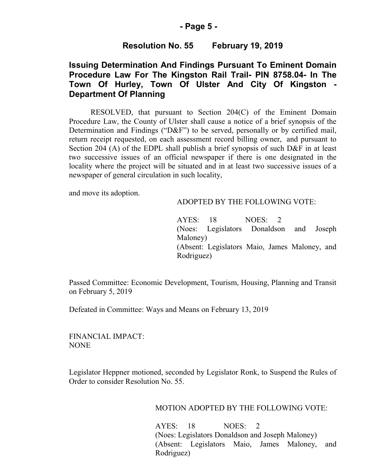#### **- Page 5 -**

### **Resolution No. 55 February 19, 2019**

# **Issuing Determination And Findings Pursuant To Eminent Domain Procedure Law For The Kingston Rail Trail- PIN 8758.04- In The Town Of Hurley, Town Of Ulster And City Of Kingston - Department Of Planning**

RESOLVED, that pursuant to Section 204(C) of the Eminent Domain Procedure Law, the County of Ulster shall cause a notice of a brief synopsis of the Determination and Findings ("D&F") to be served, personally or by certified mail, return receipt requested, on each assessment record billing owner, and pursuant to Section 204 (A) of the EDPL shall publish a brief synopsis of such D&F in at least two successive issues of an official newspaper if there is one designated in the locality where the project will be situated and in at least two successive issues of a newspaper of general circulation in such locality,

and move its adoption.

#### ADOPTED BY THE FOLLOWING VOTE:

AYES: 18 NOES: 2 (Noes: Legislators Donaldson and Joseph Maloney) (Absent: Legislators Maio, James Maloney, and Rodriguez)

Passed Committee: Economic Development, Tourism, Housing, Planning and Transit on February 5, 2019

Defeated in Committee: Ways and Means on February 13, 2019

FINANCIAL IMPACT: NONE

Legislator Heppner motioned, seconded by Legislator Ronk, to Suspend the Rules of Order to consider Resolution No. 55.

MOTION ADOPTED BY THE FOLLOWING VOTE:

AYES: 18 NOES: 2 (Noes: Legislators Donaldson and Joseph Maloney) (Absent: Legislators Maio, James Maloney, and Rodriguez)